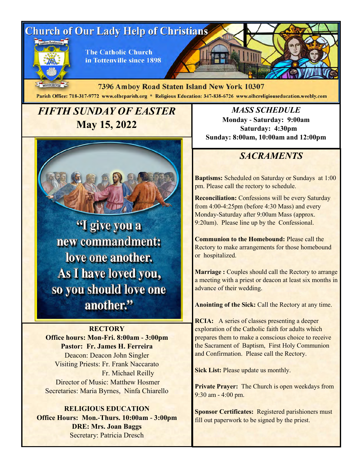# **Church of Our Lady Help of Christians**



**The Catholic Church** in Tottenville since 1898

MDCCCXCVIII 7396 Amboy Road Staten Island New York 10307 Parish Office: 718-317-9772 www.olhcparish.org \* Religious Education: 347-838-6726 www.olhcreligiouseducation.weebly.com

# *FIFTH SUNDAY OF EASTER*  **May 15, 2022**



"I give you a new commandment: love one another. As I have loved you, so you should love one another."

#### **RECTORY**

**Office hours: Mon-Fri. 8:00am - 3:00pm Pastor: Fr. James H. Ferreira** Deacon: Deacon John Singler Visiting Priests: Fr. Frank Naccarato Fr. Michael Reilly Director of Music: Matthew Hosmer Secretaries: Maria Byrnes, Ninfa Chiarello

#### **RELIGIOUS EDUCATION Office Hours: Mon.-Thurs. 10:00am - 3:00pm DRE: Mrs. Joan Baggs** Secretary: Patricia Dresch

*MASS SCHEDULE* **Monday - Saturday: 9:00am Saturday: 4:30pm Sunday: 8:00am, 10:00am and 12:00pm**

## *SACRAMENTS*

**Baptisms:** Scheduled on Saturday or Sundays at 1:00 pm. Please call the rectory to schedule.

**Reconciliation:** Confessions will be every Saturday from 4:00-4:25pm (before 4:30 Mass) and every Monday-Saturday after 9:00am Mass (approx. 9:20am). Please line up by the Confessional.

**Communion to the Homebound:** Please call the Rectory to make arrangements for those homebound or hospitalized.

**Marriage :** Couples should call the Rectory to arrange a meeting with a priest or deacon at least six months in advance of their wedding.

**Anointing of the Sick:** Call the Rectory at any time.

**RCIA:** A series of classes presenting a deeper exploration of the Catholic faith for adults which prepares them to make a conscious choice to receive the Sacrament of Baptism, First Holy Communion and Confirmation. Please call the Rectory.

**Sick List:** Please update us monthly.

**Private Prayer:** The Church is open weekdays from 9:30 am - 4:00 pm.

**Sponsor Certificates:** Registered parishioners must fill out paperwork to be signed by the priest.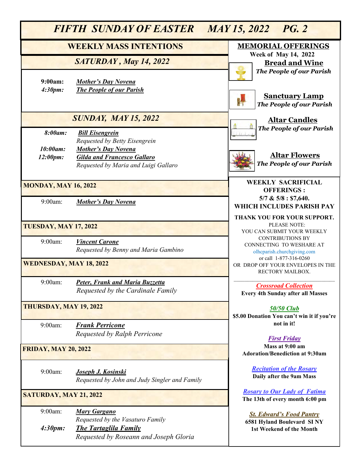| <b>FIFTH SUNDAY OF EASTER</b><br>MAY 15, 2022 PG. 2 |                                                                                                                                   |                                                                                           |
|-----------------------------------------------------|-----------------------------------------------------------------------------------------------------------------------------------|-------------------------------------------------------------------------------------------|
| <b>WEEKLY MASS INTENTIONS</b>                       |                                                                                                                                   | <b>MEMORIAL OFFERINGS</b><br><b>Week of May 14, 2022</b>                                  |
|                                                     | SATURDAY, May 14, 2022                                                                                                            | <b>Bread and Wine</b><br><b>The People of our Parish</b>                                  |
| 9:00am:<br>4:30pm:                                  | <b>Mother's Day Novena</b><br><b>The People of our Parish</b>                                                                     | <b>Sanctuary Lamp</b><br>鼎<br><b>The People of our Parish</b>                             |
|                                                     | <b>SUNDAY, MAY 15, 2022</b>                                                                                                       | <b>Altar Candles</b>                                                                      |
| 8:00am:                                             | <b>Bill Eisengrein</b><br>Requested by Betty Eisengrein                                                                           | <b>The People of our Parish</b>                                                           |
| 10:00am:<br>12:00pm:                                | <b>Mother's Day Novena</b><br><b>Gilda and Francesco Gallaro</b><br>Requested by Maria and Luigi Gallaro                          | <b>Altar Flowers</b><br><b>The People of our Parish</b>                                   |
| <b>MONDAY, MAY 16, 2022</b>                         |                                                                                                                                   | <b>WEEKLY SACRIFICIAL</b><br><b>OFFERINGS:</b>                                            |
| 9:00am:                                             | <b>Mother's Day Novena</b>                                                                                                        | 5/7 & 5/8 : 57,640.<br>WHICH INCLUDES PARISH PAY                                          |
| <b>TUESDAY, MAY 17, 2022</b>                        |                                                                                                                                   | THANK YOU FOR YOUR SUPPORT.<br>PLEASE NOTE:<br>YOU CAN SUBMIT YOUR WEEKLY                 |
| 9:00am:                                             | <b>Vincent Carone</b><br>Requested by Benny and Maria Gambino                                                                     | <b>CONTRIBUTIONS BY</b><br>CONNECTING TO WESHARE AT<br>olhcparish.churchgiving.com        |
| <b>WEDNESDAY, MAY 18, 2022</b>                      |                                                                                                                                   | or call 1-877-316-0260<br>OR DROP OFF YOUR ENVELOPES IN THE<br>RECTORY MAILBOX.           |
| 9:00am:                                             | Peter, Frank and Maria Buzzetta<br>Requested by the Cardinale Family                                                              | <b>Crossroad Collection</b><br><b>Every 4th Sunday after all Masses</b>                   |
| THURSDAY, MAY 19, 2022                              |                                                                                                                                   | <b>50/50 Club</b><br>\$5.00 Donation You can't win it if you're                           |
| $9:00am$ :                                          | <b>Frank Perricone</b><br>Requested by Ralph Perricone                                                                            | not in it!<br><b>First Friday</b>                                                         |
| <b>FRIDAY, MAY 20, 2022</b>                         |                                                                                                                                   | Mass at 9:00 am<br><b>Adoration/Benediction at 9:30am</b>                                 |
| 9:00am:                                             | <b>Joseph J. Kosinski</b><br>Requested by John and Judy Singler and Family                                                        | <b>Recitation of the Rosary</b><br>Daily after the 9am Mass                               |
| <b>SATURDAY, MAY 21, 2022</b>                       |                                                                                                                                   | <b>Rosary to Our Lady of Fatima</b><br>The 13th of every month 6:00 pm                    |
| 9:00am:<br>4:30pm:                                  | <b>Mary Gargano</b><br>Requested by the Vasaturo Family<br><b>The Tartaglila Family</b><br>Requested by Roseann and Joseph Gloria | <b>St. Edward's Food Pantry</b><br>6581 Hyland Boulevard SINY<br>1st Weekend of the Month |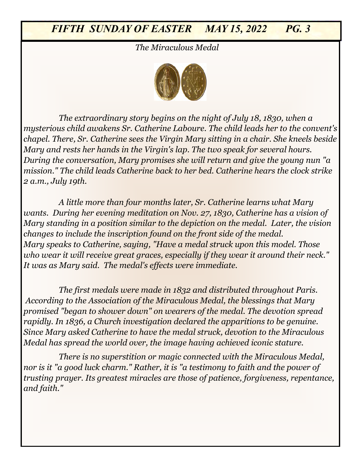*The Miraculous Medal* 



9:00am: *Concetta DiCesare, Lidia and Domenico Olivo chapel. There, Sr. Catherine sees the Virgin Mary sitting in a chair. She kneels beside Requested by Olivo and Fiorica Families Mary and rests her hands in the Virgin's lap. The two speak for several hours. The extraordinary story begins on the night of July 18, 1830, when a mysterious child awakens Sr. Catherine Laboure. The child leads her to the convent's During the conversation, Mary promises she will return and give the young nun "a mission." The child leads Catherine back to her bed. Catherine hears the clock strike 2 a.m., July 19th.* 

*A little more than four months later, Sr. Catherine learns what Mary wants. During her evening meditation on Nov. 27, 1830, Catherine has a vision of Mary standing in a position similar to the depiction on the medal. Later, the vision changes to include the inscription found on the front side of the medal. Mary speaks to Catherine, saying, "Have a medal struck upon this model. Those who wear it will receive great graces, especially if they wear it around their neck." It was as Mary said. The medal's effects were immediate.*

*The first medals were made in 1832 and distributed throughout Paris. According to the Association of the Miraculous Medal, the blessings that Mary promised "began to shower down" on wearers of the medal. The devotion spread rapidly. In 1836, a Church investigation declared the apparitions to be genuine. Since Mary asked Catherine to have the medal struck, devotion to the Miraculous Medal has spread the world over, the image having achieved iconic stature.*

*There is no superstition or magic connected with the Miraculous Medal, nor is it "a good luck charm." Rather, it is "a testimony to faith and the power of trusting prayer. Its greatest miracles are those of patience, forgiveness, repentance, and faith."*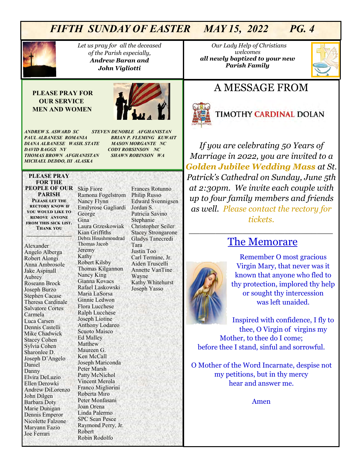

*Let us pray for all the deceased of the Parish especially, Andrew Baran and John Vigliotti* 

#### **PLEASE PRAY FOR OUR SERVICE MEN AND WOMEN**



*ANDREW S. ASWARD SC STEVEN DENOBLE AFGHANISTAN PAUL ALBANESE ROMANIA BRIAN P. FLEMING KUWAIT DIANA ALBANESE WASH. STATE MASON MORGANTE NC DAVID BAGGS NY CODY ROBSINSON NC THOMAS BROWN AFGHANISTAN SHAWN ROBINSON WA MICHAEL DEDDO, III ALASKA* 

#### **PLEASE PRAY FOR THE PEOPLE OF OUR**  Skip Fiore **PARISH Please let the rectory know if you would like to**

**remove anyone from this sick list. Thank you \_\_\_\_\_\_\_\_\_\_\_\_\_\_\_\_\_**

Alexander Angelo Alberga Robert Alongi Anna Ambrosole Jake Aspinall Aubrey Roseann Brock Joseph Burzo Stephen Cacase Theresa Cardinale Salvatore Cortes Carmela Luca Carsen Dennis Castelli Mike Chadwick Stacey Cohen Sylvia Cohen Sharonlee D. Joseph D'Angelo Daniel Danny Elvira DeLuzio Ellen Derowki Andrew DiLorenzo John Dilgen Barbara Doty Marie Dunigan Dennis Emperor Nicolette Falzone Maryann Fazio Joe Ferrari

Ramona Fogelstrom Nancy Flynn Emilyrose Gagliardi George Gina Laura Grzeskowiak Kian Griffiths Debra Houshmondrad Thomas Jacob Jeremy Kathy Robert Kilsby Thomas Kilgannon Nancy King Gianna Kovacs Rafael Laskowski Maria LaSorsa Ginnie Ledwon Flora Lucchese Ralph Lucchese Joseph Liotine Anthony Lodareo Scuoto Maisco Ed Malley Matthew Maureen G. Ken McCall Joseph Mariconda Peter Marsh Patty McNichol Vincent Merola Franco Migliorini Roberta Miro Peter Monfasani Joan Orena Linda Palermo SPC Sean Pesce Raymond Perry, Jr. Robert Robin Rodolfo

Frances Rotunno Philip Russo Edward Svennigsen Jordan S. Patricia Savino Stephanie Christopher Seiler Stacey Strongarone Gladys Tanecredi Tara Justin Too Carl Termine, Jr. Aiden Truscelli Annette VanTine Wayne Kathy Whitehurst Joseph Yasso

 *Our Lady Help of Christians welcomes all newly baptized to your new Parish Family* 



## A MESSAGE FROM



# **TIMOTHY CARDINAL DOLAN**

*If you are celebrating 50 Years of Marriage in 2022, you are invited to a Golden Jubilee Wedding Mass at St. Patrick's Cathedral on Sunday, June 5th at 2:30pm. We invite each couple with up to four family members and friends as well. Please contact the rectory for tickets.* 

## The Memorare

*\_\_\_\_\_\_\_\_\_\_\_\_\_\_\_\_\_\_\_\_\_\_\_\_\_\_\_*

Remember O most gracious Virgin Mary, that never was it known that anyone who fled to thy protection, implored thy help or sought thy intercession was left unaided.

Inspired with confidence, I fly to thee, O Virgin of virgins my Mother, to thee do I come; before thee I stand, sinful and sorrowful.

O Mother of the Word Incarnate, despise not my petitions, but in thy mercy hear and answer me.

Amen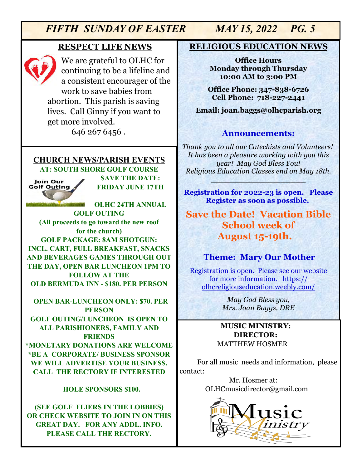#### **RESPECT LIFE NEWS**



We are grateful to OLHC for continuing to be a lifeline and a consistent encourager of the work to save babies from abortion. This parish is saving lives. Call Ginny if you want to get more involved.

646 267 6456 .

#### **CHURCH NEWS/PARISH EVENTS AT: SOUTH SHORE GOLF COURSE**

Join Our **Golf Outing** 

**SAVE THE DATE: FRIDAY JUNE 17TH**

**OLHC 24TH ANNUAL GOLF OUTING (All proceeds to go toward the new roof for the church) GOLF PACKAGE: 8AM SHOTGUN: INCL. CART, FULL BREAKFAST, SNACKS AND BEVERAGES GAMES THROUGH OUT THE DAY, OPEN BAR LUNCHEON 1PM TO FOLLOW AT THE OLD BERMUDA INN - \$180. PER PERSON** 

 **OPEN BAR-LUNCHEON ONLY: \$70. PER PERSON GOLF OUTING/LUNCHEON IS OPEN TO ALL PARISHIONERS, FAMILY AND FRIENDS \*MONETARY DONATIONS ARE WELCOME \*BE A CORPORATE/ BUSINESS SPONSOR WE WILL ADVERTISE YOUR BUSINESS. CALL THE RECTORY IF INTERESTED**

#### **HOLE SPONSORS \$100.**

**(SEE GOLF FLIERS IN THE LOBBIES) OR CHECK WEBSITE TO JOIN IN ON THIS GREAT DAY. FOR ANY ADDL. INFO. PLEASE CALL THE RECTORY.** 

#### **RELIGIOUS EDUCATION NEWS**

**Office Hours Monday through Thursday 10:00 AM to 3:00 PM**

**Office Phone: 347-838-6726 Cell Phone: 718-227-2441**

**Email: joan.baggs@olhcparish.org**

### **Announcements:**

*Thank you to all our Catechists and Volunteers! It has been a pleasure working with you this year! May God Bless You! Religious Education Classes end on May 18th.*

**\_\_\_\_\_\_\_\_\_\_\_\_\_\_\_\_\_\_\_**

**Registration for 2022-23 is open. Please Register as soon as possible.**

## **Save the Date! Vacation Bible School week of August 15-19th.**

### **Theme: Mary Our Mother**

Registration is open. Please see our website for more information. https:// olhcreligiouseducation.weebly.com/

> *May God Bless you, Mrs. Joan Baggs, DRE*

#### **MUSIC MINISTRY: DIRECTOR:**  MATTHEW HOSMER

For all music needs and information, please contact:

> Mr. Hosmer at: OLHCmusicdirector@gmail.com